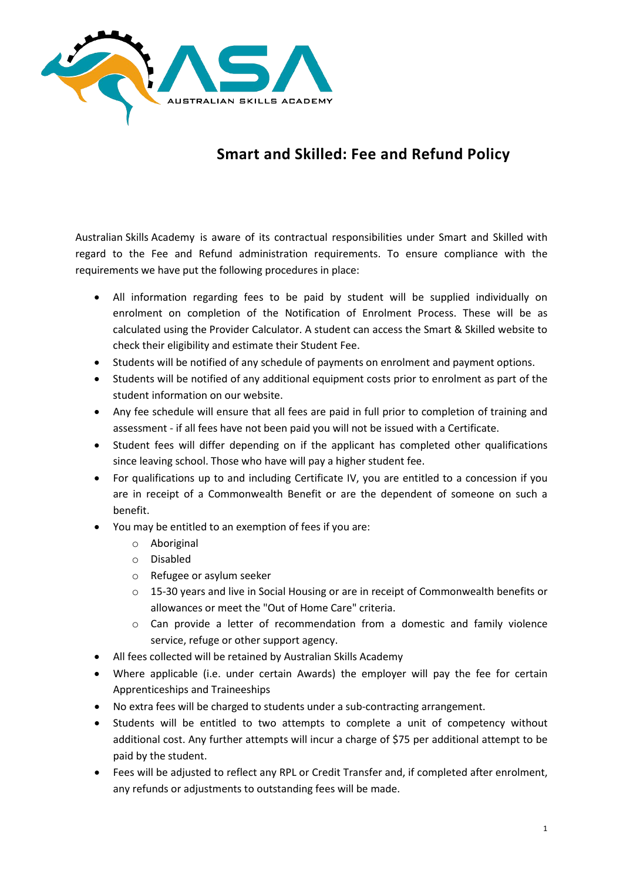

# **Smart and Skilled: Fee and Refund Policy**

Australian Skills Academy is aware of its contractual responsibilities under Smart and Skilled with regard to the Fee and Refund administration requirements. To ensure compliance with the requirements we have put the following procedures in place:

- All information regarding fees to be paid by student will be supplied individually on enrolment on completion of the Notification of Enrolment Process. These will be as calculated using the Provider Calculator. A student can access the Smart & Skilled website to check their eligibility and estimate their Student Fee.
- Students will be notified of any schedule of payments on enrolment and payment options.
- Students will be notified of any additional equipment costs prior to enrolment as part of the student information on our website.
- Any fee schedule will ensure that all fees are paid in full prior to completion of training and assessment - if all fees have not been paid you will not be issued with a Certificate.
- Student fees will differ depending on if the applicant has completed other qualifications since leaving school. Those who have will pay a higher student fee.
- For qualifications up to and including Certificate IV, you are entitled to a concession if you are in receipt of a Commonwealth Benefit or are the dependent of someone on such a benefit.
- You may be entitled to an exemption of fees if you are:
	- o Aboriginal
	- o Disabled
	- o Refugee or asylum seeker
	- o 15-30 years and live in Social Housing or are in receipt of Commonwealth benefits or allowances or meet the "Out of Home Care" criteria.
	- o Can provide a letter of recommendation from a domestic and family violence service, refuge or other support agency.
- All fees collected will be retained by Australian Skills Academy
- Where applicable (i.e. under certain Awards) the employer will pay the fee for certain Apprenticeships and Traineeships
- No extra fees will be charged to students under a sub-contracting arrangement.
- Students will be entitled to two attempts to complete a unit of competency without additional cost. Any further attempts will incur a charge of \$75 per additional attempt to be paid by the student.
- Fees will be adjusted to reflect any RPL or Credit Transfer and, if completed after enrolment, any refunds or adjustments to outstanding fees will be made.